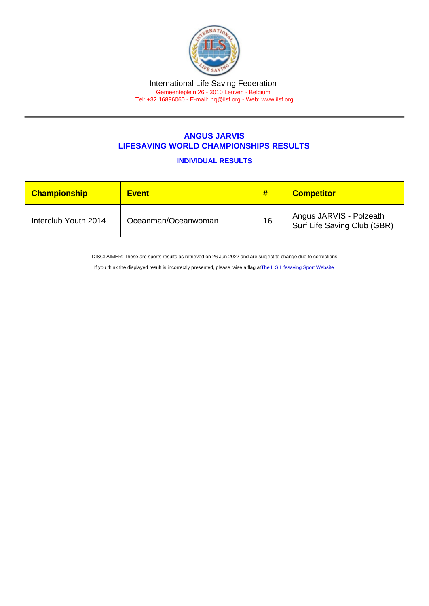## International Life Saving Federation Gemeenteplein 26 - 3010 Leuven - Belgium

Tel: +32 16896060 - E-mail: [hq@ilsf.org](mailto:hq@ilsf.org) - Web: [www.ilsf.org](https://www.ilsf.org)

## ANGUS JARVIS LIFESAVING WORLD CHAMPIONSHIPS RESULTS

INDIVIDUAL RESULTS

| Championship         | <b>Event</b>        | #  | <b>Competitor</b>                                      |
|----------------------|---------------------|----|--------------------------------------------------------|
| Interclub Youth 2014 | Oceanman/Oceanwoman | 16 | Angus JARVIS - Polzeath<br>Surf Life Saving Club (GBR) |

DISCLAIMER: These are sports results as retrieved on 26 Jun 2022 and are subject to change due to corrections.

If you think the displayed result is incorrectly presented, please raise a flag at [The ILS Lifesaving Sport Website.](https://sport.ilsf.org)